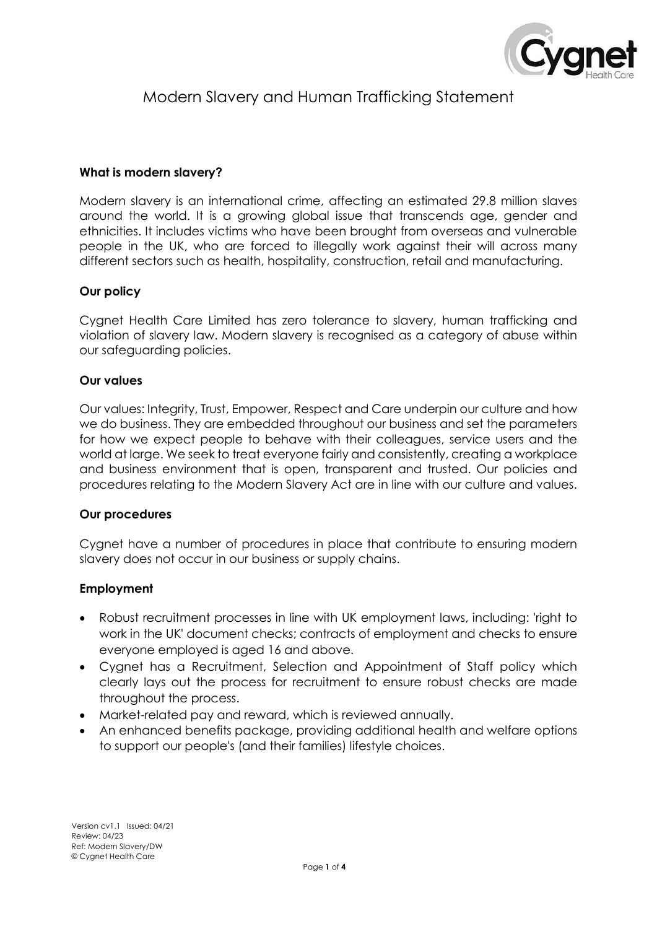

# Modern Slavery and Human Trafficking Statement

#### **What is modern slavery?**

Modern slavery is an international crime, affecting an estimated 29.8 million slaves around the world. It is a growing global issue that transcends age, gender and ethnicities. It includes victims who have been brought from overseas and vulnerable people in the UK, who are forced to illegally work against their will across many different sectors such as health, hospitality, construction, retail and manufacturing.

#### **Our policy**

Cygnet Health Care Limited has zero tolerance to slavery, human trafficking and violation of slavery law. Modern slavery is recognised as a category of abuse within our safeguarding policies.

#### **Our values**

Our values: Integrity, Trust, Empower, Respect and Care underpin our culture and how we do business. They are embedded throughout our business and set the parameters for how we expect people to behave with their colleagues, service users and the world at large. We seek to treat everyone fairly and consistently, creating a workplace and business environment that is open, transparent and trusted. Our policies and procedures relating to the Modern Slavery Act are in line with our culture and values.

#### **Our procedures**

Cygnet have a number of procedures in place that contribute to ensuring modern slavery does not occur in our business or supply chains.

#### **Employment**

- Robust recruitment processes in line with UK employment laws, including: 'right to work in the UK' document checks; contracts of employment and checks to ensure everyone employed is aged 16 and above.
- Cygnet has a Recruitment, Selection and Appointment of Staff policy which clearly lays out the process for recruitment to ensure robust checks are made throughout the process.
- Market-related pay and reward, which is reviewed annually.
- An enhanced benefits package, providing additional health and welfare options to support our people's (and their families) lifestyle choices.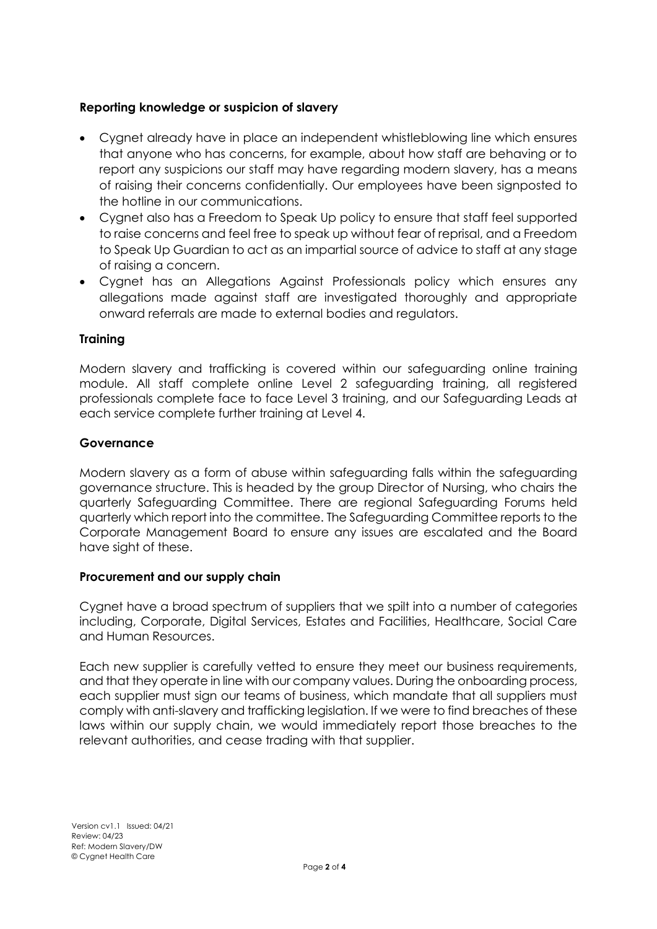## **Reporting knowledge or suspicion of slavery**

- Cygnet already have in place an independent whistleblowing line which ensures that anyone who has concerns, for example, about how staff are behaving or to report any suspicions our staff may have regarding modern slavery, has a means of raising their concerns confidentially. Our employees have been signposted to the hotline in our communications.
- Cygnet also has a Freedom to Speak Up policy to ensure that staff feel supported to raise concerns and feel free to speak up without fear of reprisal, and a Freedom to Speak Up Guardian to act as an impartial source of advice to staff at any stage of raising a concern.
- Cygnet has an Allegations Against Professionals policy which ensures any allegations made against staff are investigated thoroughly and appropriate onward referrals are made to external bodies and regulators.

# **Training**

Modern slavery and trafficking is covered within our safeguarding online training module. All staff complete online Level 2 safeguarding training, all registered professionals complete face to face Level 3 training, and our Safeguarding Leads at each service complete further training at Level 4.

## **Governance**

Modern slavery as a form of abuse within safeguarding falls within the safeguarding governance structure. This is headed by the group Director of Nursing, who chairs the quarterly Safeguarding Committee. There are regional Safeguarding Forums held quarterly which report into the committee. The Safeguarding Committee reports to the Corporate Management Board to ensure any issues are escalated and the Board have sight of these.

## **Procurement and our supply chain**

Cygnet have a broad spectrum of suppliers that we spilt into a number of categories including, Corporate, Digital Services, Estates and Facilities, Healthcare, Social Care and Human Resources.

Each new supplier is carefully vetted to ensure they meet our business requirements, and that they operate in line with our company values. During the onboarding process, each supplier must sign our teams of business, which mandate that all suppliers must comply with anti-slavery and trafficking legislation. If we were to find breaches of these laws within our supply chain, we would immediately report those breaches to the relevant authorities, and cease trading with that supplier.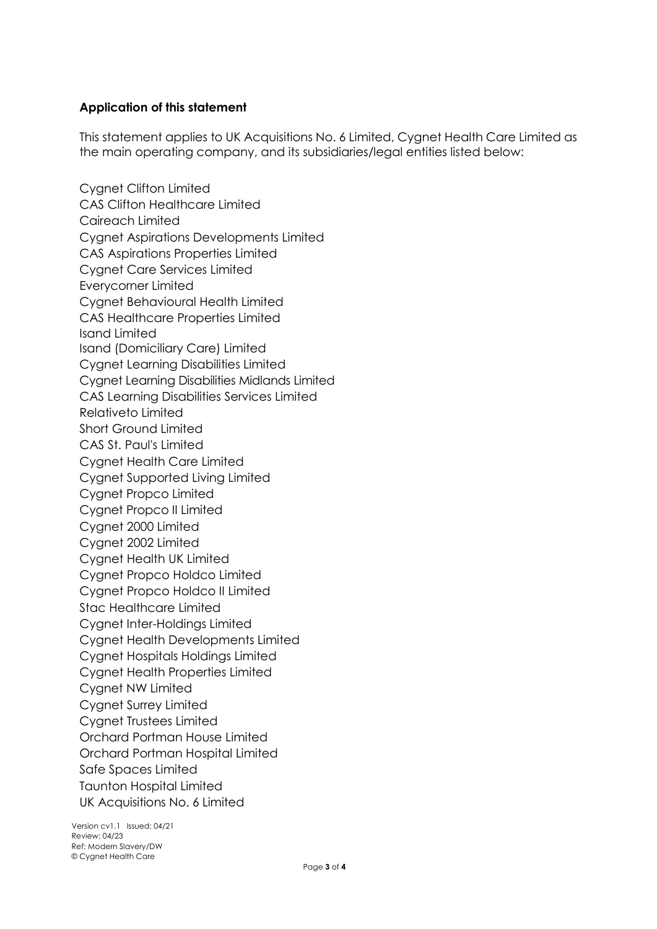# **Application of this statement**

This statement applies to UK Acquisitions No. 6 Limited, Cygnet Health Care Limited as the main operating company, and its subsidiaries/legal entities listed below:

Cygnet Clifton Limited CAS Clifton Healthcare Limited Caireach Limited Cygnet Aspirations Developments Limited CAS Aspirations Properties Limited Cygnet Care Services Limited Everycorner Limited Cygnet Behavioural Health Limited CAS Healthcare Properties Limited Isand Limited Isand (Domiciliary Care) Limited Cygnet Learning Disabilities Limited Cygnet Learning Disabilities Midlands Limited CAS Learning Disabilities Services Limited Relativeto Limited Short Ground Limited CAS St. Paul's Limited Cygnet Health Care Limited Cygnet Supported Living Limited Cygnet Propco Limited Cygnet Propco II Limited Cygnet 2000 Limited Cygnet 2002 Limited Cygnet Health UK Limited Cygnet Propco Holdco Limited Cygnet Propco Holdco II Limited Stac Healthcare Limited Cygnet Inter-Holdings Limited Cygnet Health Developments Limited Cygnet Hospitals Holdings Limited Cygnet Health Properties Limited Cygnet NW Limited Cygnet Surrey Limited Cygnet Trustees Limited Orchard Portman House Limited Orchard Portman Hospital Limited Safe Spaces Limited Taunton Hospital Limited UK Acquisitions No. 6 Limited

Version cv1.1 Issued: 04/21 Review: 04/23 Ref: Modern Slavery/DW © Cygnet Health Care